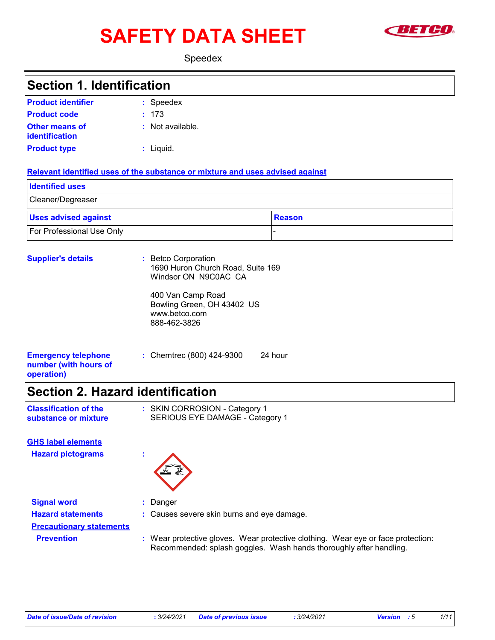# SAFETY DATA SHEET **SHEED**



Speedex

### **Section 1. Identification**

| <b>Product identifier</b>               | : Speedex        |
|-----------------------------------------|------------------|
| <b>Product code</b>                     | : 173            |
| <b>Other means of</b><br>identification | : Not available. |
| <b>Product type</b>                     | $:$ Liquid.      |

#### **Relevant identified uses of the substance or mixture and uses advised against**

| <b>Identified uses</b>           |        |
|----------------------------------|--------|
| Cleaner/Degreaser                |        |
| <b>Uses advised against</b>      | Reason |
| <b>For Professional Use Only</b> |        |

| <b>Supplier's details</b>                                         | : Betco Corporation<br>1690 Huron Church Road, Suite 169<br>Windsor ON N9C0AC CA |         |
|-------------------------------------------------------------------|----------------------------------------------------------------------------------|---------|
|                                                                   | 400 Van Camp Road<br>Bowling Green, OH 43402 US<br>www.betco.com<br>888-462-3826 |         |
| <b>Emergency telephone</b><br>number (with hours of<br>operation) | : Chemtrec (800) 424-9300                                                        | 24 hour |

### **Section 2. Hazard identification**

| <b>Classification of the</b> | : SKIN CORROSION - Category 1   |
|------------------------------|---------------------------------|
| substance or mixture         | SERIOUS EYE DAMAGE - Category 1 |

**Hazard pictograms : GHS label elements**



**Signal word :** Danger **Hazard statements :** Causes severe skin burns and eye damage. **Precautionary statements Prevention :** Wear protective gloves. Wear protective clothing. Wear eye or face protection: Recommended: splash goggles. Wash hands thoroughly after handling.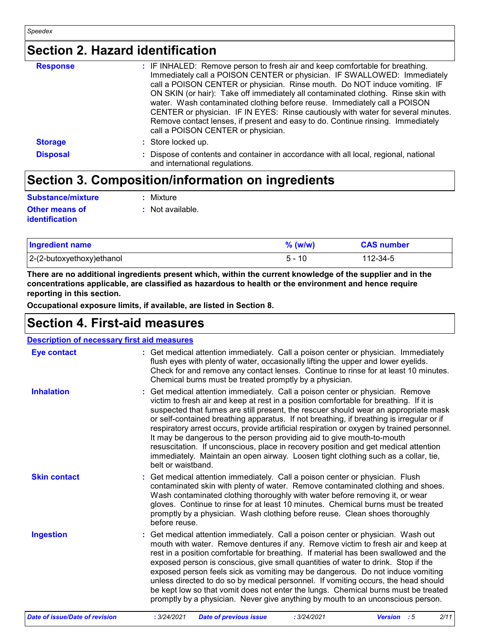# **Section 2. Hazard identification**

| <b>Response</b> | : IF INHALED: Remove person to fresh air and keep comfortable for breathing.<br>Immediately call a POISON CENTER or physician. IF SWALLOWED: Immediately<br>call a POISON CENTER or physician. Rinse mouth. Do NOT induce vomiting. IF<br>ON SKIN (or hair): Take off immediately all contaminated clothing. Rinse skin with<br>water. Wash contaminated clothing before reuse. Immediately call a POISON<br>CENTER or physician. IF IN EYES: Rinse cautiously with water for several minutes.<br>Remove contact lenses, if present and easy to do. Continue rinsing. Immediately<br>call a POISON CENTER or physician. |
|-----------------|-------------------------------------------------------------------------------------------------------------------------------------------------------------------------------------------------------------------------------------------------------------------------------------------------------------------------------------------------------------------------------------------------------------------------------------------------------------------------------------------------------------------------------------------------------------------------------------------------------------------------|
| <b>Storage</b>  | : Store locked up.                                                                                                                                                                                                                                                                                                                                                                                                                                                                                                                                                                                                      |
| <b>Disposal</b> | Dispose of contents and container in accordance with all local, regional, national<br>and international regulations.                                                                                                                                                                                                                                                                                                                                                                                                                                                                                                    |

# **Section 3. Composition/information on ingredients**

| Substance/mixture                       | : Mixture        |
|-----------------------------------------|------------------|
| <b>Other means of</b><br>identification | : Not available. |

| <b>Ingredient name</b>    | $%$ (w/w) | <b>CAS number</b> |
|---------------------------|-----------|-------------------|
| 2-(2-butoxyethoxy)ethanol | 5 - 10    | 112-34-5          |

**There are no additional ingredients present which, within the current knowledge of the supplier and in the concentrations applicable, are classified as hazardous to health or the environment and hence require reporting in this section.**

**Occupational exposure limits, if available, are listed in Section 8.**

### **Section 4. First-aid measures**

| <b>Description of necessary first aid measures</b> |                                                                                                                                                                                                                                                                                                                                                                                                                                                                                                                                                                                                                                                                                                                                       |
|----------------------------------------------------|---------------------------------------------------------------------------------------------------------------------------------------------------------------------------------------------------------------------------------------------------------------------------------------------------------------------------------------------------------------------------------------------------------------------------------------------------------------------------------------------------------------------------------------------------------------------------------------------------------------------------------------------------------------------------------------------------------------------------------------|
| <b>Eye contact</b>                                 | : Get medical attention immediately. Call a poison center or physician. Immediately<br>flush eyes with plenty of water, occasionally lifting the upper and lower eyelids.<br>Check for and remove any contact lenses. Continue to rinse for at least 10 minutes.<br>Chemical burns must be treated promptly by a physician.                                                                                                                                                                                                                                                                                                                                                                                                           |
| <b>Inhalation</b>                                  | : Get medical attention immediately. Call a poison center or physician. Remove<br>victim to fresh air and keep at rest in a position comfortable for breathing. If it is<br>suspected that fumes are still present, the rescuer should wear an appropriate mask<br>or self-contained breathing apparatus. If not breathing, if breathing is irregular or if<br>respiratory arrest occurs, provide artificial respiration or oxygen by trained personnel.<br>It may be dangerous to the person providing aid to give mouth-to-mouth<br>resuscitation. If unconscious, place in recovery position and get medical attention<br>immediately. Maintain an open airway. Loosen tight clothing such as a collar, tie,<br>belt or waistband. |
| <b>Skin contact</b>                                | Get medical attention immediately. Call a poison center or physician. Flush<br>contaminated skin with plenty of water. Remove contaminated clothing and shoes.<br>Wash contaminated clothing thoroughly with water before removing it, or wear<br>gloves. Continue to rinse for at least 10 minutes. Chemical burns must be treated<br>promptly by a physician. Wash clothing before reuse. Clean shoes thoroughly<br>before reuse.                                                                                                                                                                                                                                                                                                   |
| <b>Ingestion</b>                                   | : Get medical attention immediately. Call a poison center or physician. Wash out<br>mouth with water. Remove dentures if any. Remove victim to fresh air and keep at<br>rest in a position comfortable for breathing. If material has been swallowed and the<br>exposed person is conscious, give small quantities of water to drink. Stop if the<br>exposed person feels sick as vomiting may be dangerous. Do not induce vomiting<br>unless directed to do so by medical personnel. If vomiting occurs, the head should<br>be kept low so that vomit does not enter the lungs. Chemical burns must be treated<br>promptly by a physician. Never give anything by mouth to an unconscious person.                                    |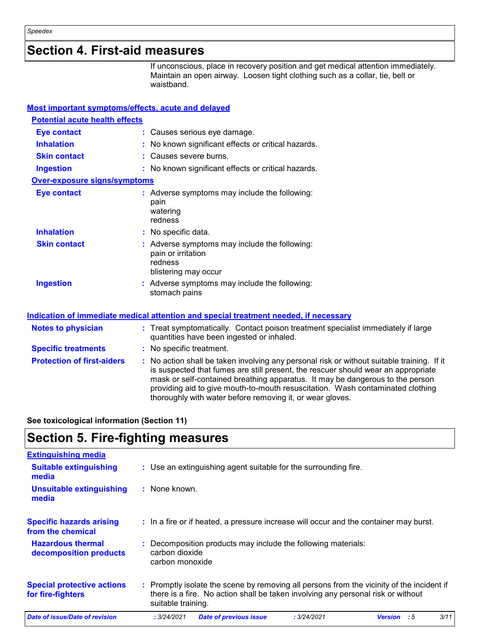**Section 4. First-aid measures**

If unconscious, place in recovery position and get medical attention immediately. Maintain an open airway. Loosen tight clothing such as a collar, tie, belt or waistband.

| Most important symptoms/effects, acute and delayed |                                                                                                                                                                                                                                                                                                                                                                                                                 |
|----------------------------------------------------|-----------------------------------------------------------------------------------------------------------------------------------------------------------------------------------------------------------------------------------------------------------------------------------------------------------------------------------------------------------------------------------------------------------------|
| <b>Potential acute health effects</b>              |                                                                                                                                                                                                                                                                                                                                                                                                                 |
| <b>Eye contact</b>                                 | : Causes serious eye damage.                                                                                                                                                                                                                                                                                                                                                                                    |
| <b>Inhalation</b>                                  | : No known significant effects or critical hazards.                                                                                                                                                                                                                                                                                                                                                             |
| <b>Skin contact</b>                                | : Causes severe burns.                                                                                                                                                                                                                                                                                                                                                                                          |
| <b>Ingestion</b>                                   | : No known significant effects or critical hazards.                                                                                                                                                                                                                                                                                                                                                             |
| <b>Over-exposure signs/symptoms</b>                |                                                                                                                                                                                                                                                                                                                                                                                                                 |
| <b>Eye contact</b>                                 | : Adverse symptoms may include the following:<br>pain<br>watering<br>redness                                                                                                                                                                                                                                                                                                                                    |
| <b>Inhalation</b>                                  | : No specific data.                                                                                                                                                                                                                                                                                                                                                                                             |
| <b>Skin contact</b>                                | : Adverse symptoms may include the following:<br>pain or irritation<br>redness<br>blistering may occur                                                                                                                                                                                                                                                                                                          |
| <b>Ingestion</b>                                   | : Adverse symptoms may include the following:<br>stomach pains                                                                                                                                                                                                                                                                                                                                                  |
|                                                    | Indication of immediate medical attention and special treatment needed, if necessary                                                                                                                                                                                                                                                                                                                            |
| <b>Notes to physician</b>                          | : Treat symptomatically. Contact poison treatment specialist immediately if large<br>quantities have been ingested or inhaled.                                                                                                                                                                                                                                                                                  |
| <b>Specific treatments</b>                         | : No specific treatment.                                                                                                                                                                                                                                                                                                                                                                                        |
| <b>Protection of first-aiders</b>                  | : No action shall be taken involving any personal risk or without suitable training. If it<br>is suspected that fumes are still present, the rescuer should wear an appropriate<br>mask or self-contained breathing apparatus. It may be dangerous to the person<br>providing aid to give mouth-to-mouth resuscitation. Wash contaminated clothing<br>thoroughly with water before removing it, or wear gloves. |

**See toxicological information (Section 11)**

### **Section 5. Fire-fighting measures**

| <b>Extinguishing media</b>                             |                                                                                                                                                                                                     |
|--------------------------------------------------------|-----------------------------------------------------------------------------------------------------------------------------------------------------------------------------------------------------|
| <b>Suitable extinguishing</b><br>media                 | : Use an extinguishing agent suitable for the surrounding fire.                                                                                                                                     |
| <b>Unsuitable extinguishing</b><br>media               | : None known.                                                                                                                                                                                       |
| <b>Specific hazards arising</b><br>from the chemical   | : In a fire or if heated, a pressure increase will occur and the container may burst.                                                                                                               |
| <b>Hazardous thermal</b><br>decomposition products     | : Decomposition products may include the following materials:<br>carbon dioxide<br>carbon monoxide                                                                                                  |
| <b>Special protective actions</b><br>for fire-fighters | : Promptly isolate the scene by removing all persons from the vicinity of the incident if<br>there is a fire. No action shall be taken involving any personal risk or without<br>suitable training. |
| <b>Date of issue/Date of revision</b>                  | 3/11<br>: 3/24/2021<br><b>Date of previous issue</b><br>: 3/24/2021<br>: 5<br><b>Version</b>                                                                                                        |

*Speedex*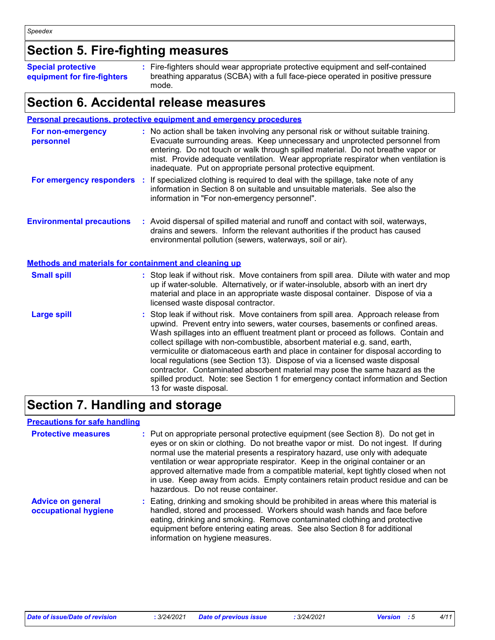# **Section 5. Fire-fighting measures**

**Special protective equipment for fire-fighters** Fire-fighters should wear appropriate protective equipment and self-contained **:** breathing apparatus (SCBA) with a full face-piece operated in positive pressure mode.

### **Section 6. Accidental release measures**

|                                                              | <b>Personal precautions, protective equipment and emergency procedures</b>                                                                                                                                                                                                                                                                                                                                                                                                                                                                                                                                                                                                                                      |
|--------------------------------------------------------------|-----------------------------------------------------------------------------------------------------------------------------------------------------------------------------------------------------------------------------------------------------------------------------------------------------------------------------------------------------------------------------------------------------------------------------------------------------------------------------------------------------------------------------------------------------------------------------------------------------------------------------------------------------------------------------------------------------------------|
| For non-emergency<br>personnel                               | : No action shall be taken involving any personal risk or without suitable training.<br>Evacuate surrounding areas. Keep unnecessary and unprotected personnel from<br>entering. Do not touch or walk through spilled material. Do not breathe vapor or<br>mist. Provide adequate ventilation. Wear appropriate respirator when ventilation is<br>inadequate. Put on appropriate personal protective equipment.                                                                                                                                                                                                                                                                                                 |
| For emergency responders                                     | : If specialized clothing is required to deal with the spillage, take note of any<br>information in Section 8 on suitable and unsuitable materials. See also the<br>information in "For non-emergency personnel".                                                                                                                                                                                                                                                                                                                                                                                                                                                                                               |
| <b>Environmental precautions</b>                             | : Avoid dispersal of spilled material and runoff and contact with soil, waterways,<br>drains and sewers. Inform the relevant authorities if the product has caused<br>environmental pollution (sewers, waterways, soil or air).                                                                                                                                                                                                                                                                                                                                                                                                                                                                                 |
| <b>Methods and materials for containment and cleaning up</b> |                                                                                                                                                                                                                                                                                                                                                                                                                                                                                                                                                                                                                                                                                                                 |
| <b>Small spill</b>                                           | : Stop leak if without risk. Move containers from spill area. Dilute with water and mop<br>up if water-soluble. Alternatively, or if water-insoluble, absorb with an inert dry<br>material and place in an appropriate waste disposal container. Dispose of via a<br>licensed waste disposal contractor.                                                                                                                                                                                                                                                                                                                                                                                                        |
| <b>Large spill</b>                                           | : Stop leak if without risk. Move containers from spill area. Approach release from<br>upwind. Prevent entry into sewers, water courses, basements or confined areas.<br>Wash spillages into an effluent treatment plant or proceed as follows. Contain and<br>collect spillage with non-combustible, absorbent material e.g. sand, earth,<br>vermiculite or diatomaceous earth and place in container for disposal according to<br>local regulations (see Section 13). Dispose of via a licensed waste disposal<br>contractor. Contaminated absorbent material may pose the same hazard as the<br>spilled product. Note: see Section 1 for emergency contact information and Section<br>13 for waste disposal. |

### **Section 7. Handling and storage**

#### **Precautions for safe handling**

| <b>Protective measures</b>                       | : Put on appropriate personal protective equipment (see Section 8). Do not get in<br>eyes or on skin or clothing. Do not breathe vapor or mist. Do not ingest. If during<br>normal use the material presents a respiratory hazard, use only with adequate<br>ventilation or wear appropriate respirator. Keep in the original container or an<br>approved alternative made from a compatible material, kept tightly closed when not<br>in use. Keep away from acids. Empty containers retain product residue and can be<br>hazardous. Do not reuse container. |
|--------------------------------------------------|---------------------------------------------------------------------------------------------------------------------------------------------------------------------------------------------------------------------------------------------------------------------------------------------------------------------------------------------------------------------------------------------------------------------------------------------------------------------------------------------------------------------------------------------------------------|
| <b>Advice on general</b><br>occupational hygiene | : Eating, drinking and smoking should be prohibited in areas where this material is<br>handled, stored and processed. Workers should wash hands and face before<br>eating, drinking and smoking. Remove contaminated clothing and protective<br>equipment before entering eating areas. See also Section 8 for additional<br>information on hygiene measures.                                                                                                                                                                                                 |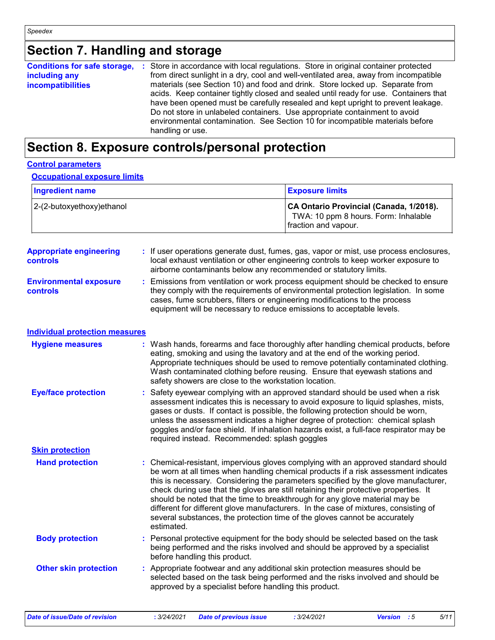# **Section 7. Handling and storage**

|                          | <b>Conditions for safe storage, :</b> Store in accordance with local regulations. Store in original container protected                                                                                                                                                                                                                                                                                                                      |
|--------------------------|----------------------------------------------------------------------------------------------------------------------------------------------------------------------------------------------------------------------------------------------------------------------------------------------------------------------------------------------------------------------------------------------------------------------------------------------|
| including any            | from direct sunlight in a dry, cool and well-ventilated area, away from incompatible                                                                                                                                                                                                                                                                                                                                                         |
| <b>incompatibilities</b> | materials (see Section 10) and food and drink. Store locked up. Separate from<br>acids. Keep container tightly closed and sealed until ready for use. Containers that<br>have been opened must be carefully resealed and kept upright to prevent leakage.<br>Do not store in unlabeled containers. Use appropriate containment to avoid<br>environmental contamination. See Section 10 for incompatible materials before<br>handling or use. |

# **Section 8. Exposure controls/personal protection**

#### **Control parameters**

| <b>Ingredient name</b>    | <b>Exposure limits</b>                                                                                  |
|---------------------------|---------------------------------------------------------------------------------------------------------|
| 2-(2-butoxyethoxy)ethanol | CA Ontario Provincial (Canada, 1/2018).<br>TWA: 10 ppm 8 hours. Form: Inhalable<br>fraction and vapour. |

| <b>Appropriate engineering</b><br><b>controls</b> | : If user operations generate dust, fumes, gas, vapor or mist, use process enclosures,<br>local exhaust ventilation or other engineering controls to keep worker exposure to<br>airborne contaminants below any recommended or statutory limits.                                                                                                                                                                                                                                                                                                                                                                        |
|---------------------------------------------------|-------------------------------------------------------------------------------------------------------------------------------------------------------------------------------------------------------------------------------------------------------------------------------------------------------------------------------------------------------------------------------------------------------------------------------------------------------------------------------------------------------------------------------------------------------------------------------------------------------------------------|
| <b>Environmental exposure</b><br>controls         | : Emissions from ventilation or work process equipment should be checked to ensure<br>they comply with the requirements of environmental protection legislation. In some<br>cases, fume scrubbers, filters or engineering modifications to the process<br>equipment will be necessary to reduce emissions to acceptable levels.                                                                                                                                                                                                                                                                                         |
| <b>Individual protection measures</b>             |                                                                                                                                                                                                                                                                                                                                                                                                                                                                                                                                                                                                                         |
| <b>Hygiene measures</b>                           | : Wash hands, forearms and face thoroughly after handling chemical products, before<br>eating, smoking and using the lavatory and at the end of the working period.<br>Appropriate techniques should be used to remove potentially contaminated clothing.<br>Wash contaminated clothing before reusing. Ensure that eyewash stations and<br>safety showers are close to the workstation location.                                                                                                                                                                                                                       |
| <b>Eye/face protection</b>                        | : Safety eyewear complying with an approved standard should be used when a risk<br>assessment indicates this is necessary to avoid exposure to liquid splashes, mists,<br>gases or dusts. If contact is possible, the following protection should be worn,<br>unless the assessment indicates a higher degree of protection: chemical splash<br>goggles and/or face shield. If inhalation hazards exist, a full-face respirator may be<br>required instead. Recommended: splash goggles                                                                                                                                 |
| <b>Skin protection</b>                            |                                                                                                                                                                                                                                                                                                                                                                                                                                                                                                                                                                                                                         |
| <b>Hand protection</b>                            | Chemical-resistant, impervious gloves complying with an approved standard should<br>be worn at all times when handling chemical products if a risk assessment indicates<br>this is necessary. Considering the parameters specified by the glove manufacturer,<br>check during use that the gloves are still retaining their protective properties. It<br>should be noted that the time to breakthrough for any glove material may be<br>different for different glove manufacturers. In the case of mixtures, consisting of<br>several substances, the protection time of the gloves cannot be accurately<br>estimated. |
| <b>Body protection</b>                            | : Personal protective equipment for the body should be selected based on the task<br>being performed and the risks involved and should be approved by a specialist<br>before handling this product.                                                                                                                                                                                                                                                                                                                                                                                                                     |
| <b>Other skin protection</b>                      | : Appropriate footwear and any additional skin protection measures should be<br>selected based on the task being performed and the risks involved and should be<br>approved by a specialist before handling this product.                                                                                                                                                                                                                                                                                                                                                                                               |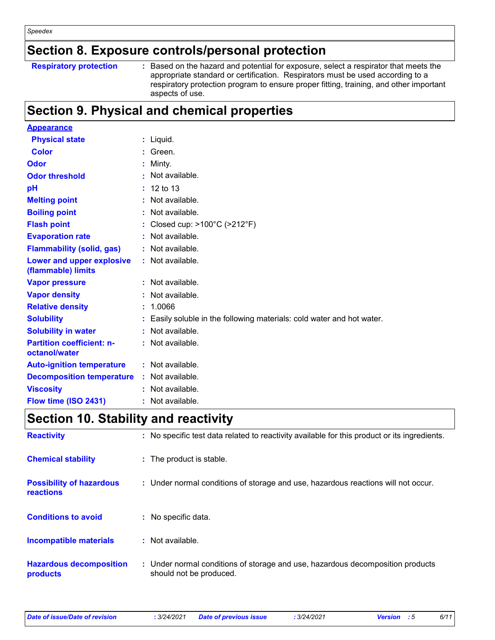### **Section 8. Exposure controls/personal protection**

#### **Respiratory protection :**

: Based on the hazard and potential for exposure, select a respirator that meets the appropriate standard or certification. Respirators must be used according to a respiratory protection program to ensure proper fitting, training, and other important aspects of use.

### **Section 9. Physical and chemical properties**

| <b>Appearance</b>                                 |    |                                                                      |
|---------------------------------------------------|----|----------------------------------------------------------------------|
| <b>Physical state</b>                             |    | $:$ Liquid.                                                          |
| <b>Color</b>                                      |    | : Green.                                                             |
| Odor                                              |    | Minty.                                                               |
| <b>Odor threshold</b>                             |    | $:$ Not available.                                                   |
| pH                                                |    | 12 to 13                                                             |
| <b>Melting point</b>                              |    | : Not available.                                                     |
| <b>Boiling point</b>                              |    | : Not available.                                                     |
| <b>Flash point</b>                                |    | : Closed cup: $>100^{\circ}$ C ( $>212^{\circ}$ F)                   |
| <b>Evaporation rate</b>                           |    | : Not available.                                                     |
| <b>Flammability (solid, gas)</b>                  |    | : Not available.                                                     |
| Lower and upper explosive<br>(flammable) limits   |    | : Not available.                                                     |
| <b>Vapor pressure</b>                             |    | : Not available.                                                     |
| <b>Vapor density</b>                              |    | : Not available.                                                     |
| <b>Relative density</b>                           | t. | 1.0066                                                               |
| <b>Solubility</b>                                 |    | Easily soluble in the following materials: cold water and hot water. |
| <b>Solubility in water</b>                        |    | : Not available.                                                     |
| <b>Partition coefficient: n-</b><br>octanol/water |    | : Not available.                                                     |
| <b>Auto-ignition temperature</b>                  |    | : Not available.                                                     |
| <b>Decomposition temperature</b>                  |    | $:$ Not available.                                                   |
| <b>Viscosity</b>                                  |    | : Not available.                                                     |
| Flow time (ISO 2431)                              |    | : Not available.                                                     |

### **Section 10. Stability and reactivity**

| <b>Reactivity</b>                            | : No specific test data related to reactivity available for this product or its ingredients.              |
|----------------------------------------------|-----------------------------------------------------------------------------------------------------------|
| <b>Chemical stability</b>                    | : The product is stable.                                                                                  |
| <b>Possibility of hazardous</b><br>reactions | : Under normal conditions of storage and use, hazardous reactions will not occur.                         |
| <b>Conditions to avoid</b>                   | : No specific data.                                                                                       |
| <b>Incompatible materials</b>                | : Not available.                                                                                          |
| <b>Hazardous decomposition</b><br>products   | : Under normal conditions of storage and use, hazardous decomposition products<br>should not be produced. |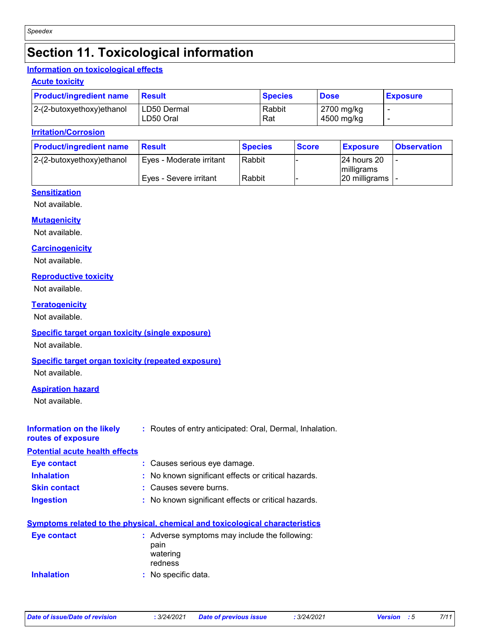# **Section 11. Toxicological information**

#### **Information on toxicological effects**

#### **Acute toxicity**

| <b>Product/ingredient name</b> | <b>Besult</b>            | <b>Species</b> | <b>Dose</b>              | <b>Exposure</b> |
|--------------------------------|--------------------------|----------------|--------------------------|-----------------|
| 2-(2-butoxyethoxy)ethanol      | LD50 Dermal<br>LD50 Oral | Rabbit<br>Rat  | 2700 mg/kg<br>4500 mg/kg |                 |

#### **Irritation/Corrosion**

| <b>Product/ingredient name</b> | <b>Result</b>            | <b>Species</b> | <b>Score</b> | <b>Exposure</b>            | <b>Observation</b> |
|--------------------------------|--------------------------|----------------|--------------|----------------------------|--------------------|
| $2-(2-butoxyethoxy)ethanol$    | Eyes - Moderate irritant | Rabbit         |              | 124 hours 20<br>milligrams |                    |
|                                | Eyes - Severe irritant   | Rabbit         |              | 20 milligrams  -           |                    |

#### **Sensitization**

Not available.

#### **Mutagenicity**

Not available.

#### **Carcinogenicity**

Not available.

#### **Reproductive toxicity**

Not available.

#### **Teratogenicity**

Not available.

#### **Specific target organ toxicity (single exposure)**

Not available.

#### **Specific target organ toxicity (repeated exposure)**

Not available.

#### **Aspiration hazard**

Not available.

| Information on the likely<br>routes of exposure | : Routes of entry anticipated: Oral, Dermal, Inhalation.                            |
|-------------------------------------------------|-------------------------------------------------------------------------------------|
| <b>Potential acute health effects</b>           |                                                                                     |
| <b>Eye contact</b>                              | : Causes serious eye damage.                                                        |
| <b>Inhalation</b>                               | : No known significant effects or critical hazards.                                 |
| <b>Skin contact</b>                             | : Causes severe burns.                                                              |
| <b>Ingestion</b>                                | : No known significant effects or critical hazards.                                 |
|                                                 | <b>Symptoms related to the physical, chemical and toxicological characteristics</b> |
| <b>Eye contact</b>                              | : Adverse symptoms may include the following:<br>pain<br>watering<br>redness        |
| <b>Inhalation</b>                               | : No specific data.                                                                 |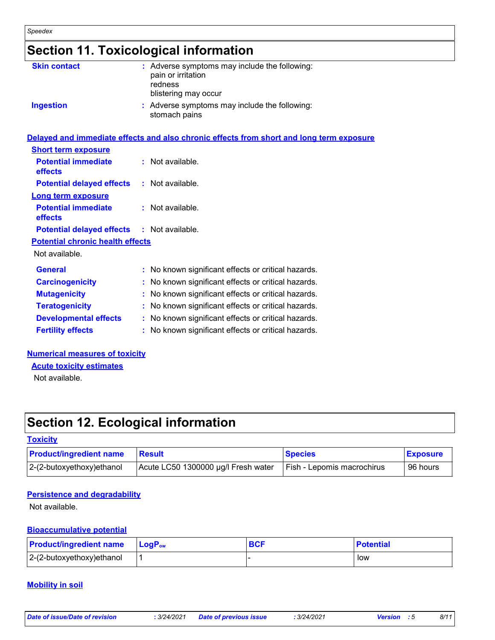# **Section 11. Toxicological information**

| <b>Skin contact</b>                               | : Adverse symptoms may include the following:<br>pain or irritation<br>redness           |
|---------------------------------------------------|------------------------------------------------------------------------------------------|
|                                                   | blistering may occur                                                                     |
| <b>Ingestion</b>                                  | : Adverse symptoms may include the following:<br>stomach pains                           |
|                                                   | Delayed and immediate effects and also chronic effects from short and long term exposure |
| <b>Short term exposure</b>                        |                                                                                          |
| <b>Potential immediate</b><br>effects             | : Not available.                                                                         |
| <b>Potential delayed effects</b>                  | : Not available.                                                                         |
| <b>Long term exposure</b>                         |                                                                                          |
| <b>Potential immediate</b><br>effects             | : Not available.                                                                         |
| <b>Potential delayed effects : Not available.</b> |                                                                                          |
| <b>Potential chronic health effects</b>           |                                                                                          |
| Not available.                                    |                                                                                          |
| <b>General</b>                                    | : No known significant effects or critical hazards.                                      |
| <b>Carcinogenicity</b>                            | : No known significant effects or critical hazards.                                      |
| <b>Mutagenicity</b>                               | : No known significant effects or critical hazards.                                      |
| <b>Teratogenicity</b>                             | : No known significant effects or critical hazards.                                      |
| <b>Developmental effects</b>                      | : No known significant effects or critical hazards.                                      |
| <b>Fertility effects</b>                          | : No known significant effects or critical hazards.                                      |
|                                                   |                                                                                          |

#### **Numerical measures of toxicity**

**Acute toxicity estimates**

Not available.

# **Section 12. Ecological information**

#### **Toxicity**

| <b>Product/ingredient name</b> | <b>Result</b>                       | <b>Species</b>                    | <b>Exposure</b> |
|--------------------------------|-------------------------------------|-----------------------------------|-----------------|
| $ 2-(2-butoxyethoxy)$ ethanol  | Acute LC50 1300000 µg/l Fresh water | <b>Fish - Lepomis macrochirus</b> | 96 hours        |

#### **Persistence and degradability**

Not available.

#### **Bioaccumulative potential**

| <b>Product/ingredient name</b> LogP <sub>ow</sub> | <b>BCF</b> | <b>Potential</b> |
|---------------------------------------------------|------------|------------------|
| 2-(2-butoxyethoxy)ethanol                         |            | low              |

#### **Mobility in soil**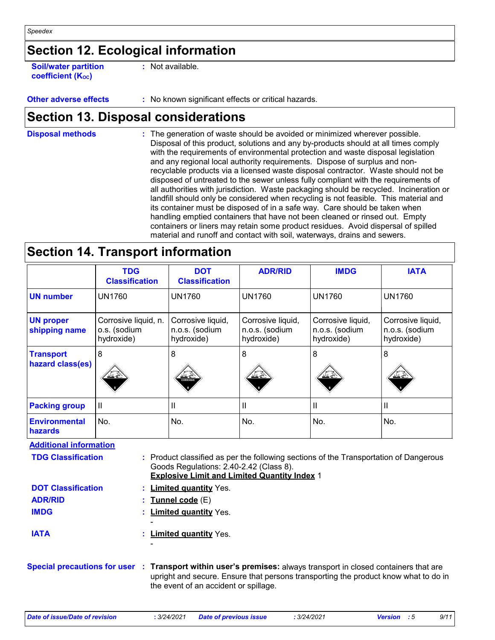# **Section 12. Ecological information**

**Soil/water partition coefficient (KOC)**

**:** Not available.

**Other adverse effects** : No known significant effects or critical hazards.

### **Section 13. Disposal considerations**

The generation of waste should be avoided or minimized wherever possible. Disposal of this product, solutions and any by-products should at all times comply with the requirements of environmental protection and waste disposal legislation and any regional local authority requirements. Dispose of surplus and nonrecyclable products via a licensed waste disposal contractor. Waste should not be disposed of untreated to the sewer unless fully compliant with the requirements of all authorities with jurisdiction. Waste packaging should be recycled. Incineration or landfill should only be considered when recycling is not feasible. This material and its container must be disposed of in a safe way. Care should be taken when handling emptied containers that have not been cleaned or rinsed out. Empty containers or liners may retain some product residues. Avoid dispersal of spilled material and runoff and contact with soil, waterways, drains and sewers. **Disposal methods :**

### **Section 14. Transport information**

|                                        | <b>TDG</b><br><b>Classification</b>                | <b>DOT</b><br><b>Classification</b>               | <b>ADR/RID</b>                                    | <b>IMDG</b>                                       | <b>IATA</b>                                       |
|----------------------------------------|----------------------------------------------------|---------------------------------------------------|---------------------------------------------------|---------------------------------------------------|---------------------------------------------------|
| <b>UN number</b>                       | <b>UN1760</b>                                      | <b>UN1760</b>                                     | <b>UN1760</b>                                     | <b>UN1760</b>                                     | <b>UN1760</b>                                     |
| <b>UN proper</b><br>shipping name      | Corrosive liquid, n.<br>o.s. (sodium<br>hydroxide) | Corrosive liquid,<br>n.o.s. (sodium<br>hydroxide) | Corrosive liquid,<br>n.o.s. (sodium<br>hydroxide) | Corrosive liquid,<br>n.o.s. (sodium<br>hydroxide) | Corrosive liquid,<br>n.o.s. (sodium<br>hydroxide) |
| <b>Transport</b><br>hazard class(es)   | 8<br>مختم کند                                      | 8<br><b>CORROSIVE</b>                             | 8<br>مختلف کنند                                   | 8<br>مختلف کنند                                   | 8<br>مجنے کے لئے                                  |
| <b>Packing group</b>                   | $\mathbf{II}$                                      | Ш                                                 | Ш                                                 | Ш                                                 | Ш                                                 |
| <b>Environmental</b><br><b>hazards</b> | No.                                                | No.                                               | No.                                               | No.                                               | No.                                               |

**Additional information**

| <b>TDG Classification</b> | : Product classified as per the following sections of the Transportation of Dangerous |
|---------------------------|---------------------------------------------------------------------------------------|
|                           | Goods Regulations: 2.40-2.42 (Class 8).                                               |
|                           | <b>Explosive Limit and Limited Quantity Index 1</b>                                   |

| <b>DOT Classification</b> | : Limited quantity Yes. |
|---------------------------|-------------------------|
| <b>ADR/RID</b>            | : Tunnel code (E)       |
| <b>IMDG</b>               | : Limited quantity Yes. |
|                           |                         |
| <b>IATA</b>               | : Limited quantity Yes. |

-

**Special precautions for user Transport within user's premises:** always transport in closed containers that are **:** upright and secure. Ensure that persons transporting the product know what to do in the event of an accident or spillage.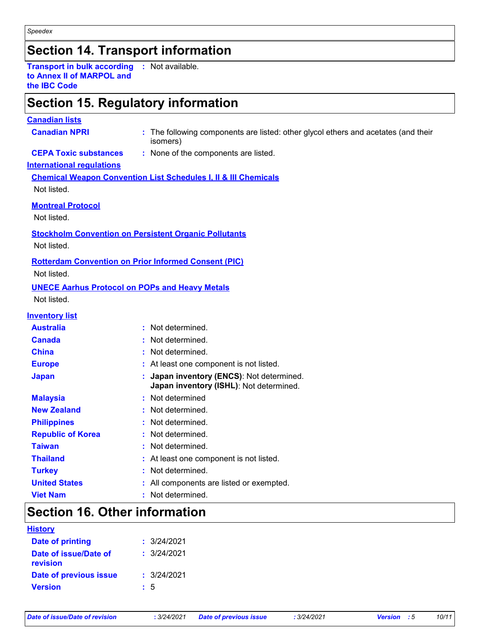# **Section 14. Transport information**

**Transport in bulk according to Annex II of MARPOL and the IBC Code :** Not available.

# **Section 15. Regulatory information**

#### **Canadian lists**

- The following components are listed: other glycol ethers and acetates (and their isomers) **Canadian NPRI :**
- **CEPA Toxic substances :** None of the components are listed.

#### **International regulations**

**Chemical Weapon Convention List Schedules I, II & III Chemicals**

Not listed.

#### **Montreal Protocol**

Not listed.

#### **Stockholm Convention on Persistent Organic Pollutants**

Not listed.

### **Rotterdam Convention on Prior Informed Consent (PIC)**

Not listed.

### **UNECE Aarhus Protocol on POPs and Heavy Metals**

Not listed.

#### **Inventory list**

| ------------------       |                                                                                      |
|--------------------------|--------------------------------------------------------------------------------------|
| <b>Australia</b>         | : Not determined.                                                                    |
| <b>Canada</b>            | : Not determined.                                                                    |
| <b>China</b>             | : Not determined.                                                                    |
| <b>Europe</b>            | : At least one component is not listed.                                              |
| <b>Japan</b>             | : Japan inventory (ENCS): Not determined.<br>Japan inventory (ISHL): Not determined. |
| <b>Malaysia</b>          | : Not determined                                                                     |
| <b>New Zealand</b>       | : Not determined.                                                                    |
| <b>Philippines</b>       | : Not determined.                                                                    |
| <b>Republic of Korea</b> | : Not determined.                                                                    |
| <b>Taiwan</b>            | : Not determined.                                                                    |
| <b>Thailand</b>          | : At least one component is not listed.                                              |
| <b>Turkey</b>            | : Not determined.                                                                    |
| <b>United States</b>     | : All components are listed or exempted.                                             |
| <b>Viet Nam</b>          | : Not determined.                                                                    |
|                          |                                                                                      |

### **Section 16. Other information**

| Date of printing<br>: 3/24/2021<br>: 3/24/2021<br>Date of issue/Date of<br>revision |
|-------------------------------------------------------------------------------------|
|                                                                                     |
|                                                                                     |
| Date of previous issue<br>: 3/24/2021                                               |
| <b>Version</b><br>: 5                                                               |